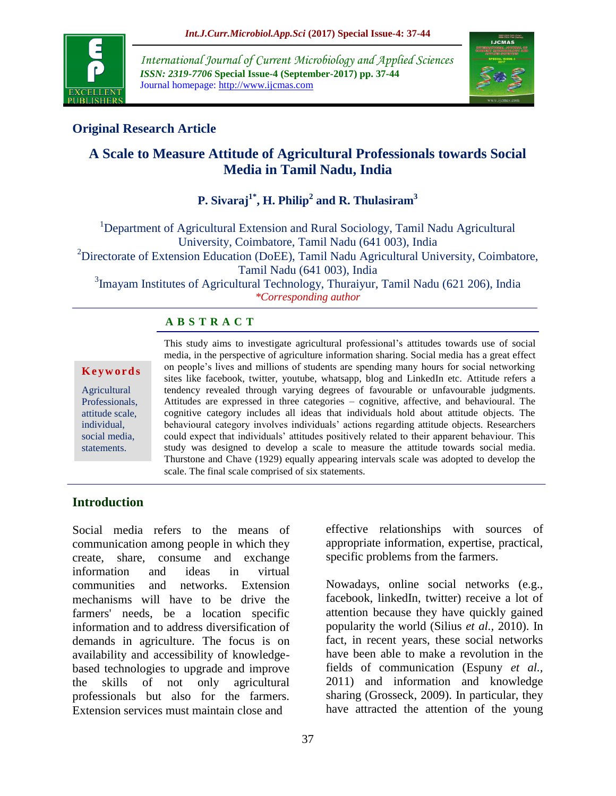

*International Journal of Current Microbiology and Applied Sciences ISSN: 2319-7706* **Special Issue-4 (September-2017) pp. 37-44** Journal homepage: http://www.ijcmas.com



## **Original Research Article**

# **A Scale to Measure Attitude of Agricultural Professionals towards Social Media in Tamil Nadu, India**

# **P. Sivaraj1\*, H. Philip<sup>2</sup> and R. Thulasiram<sup>3</sup>**

<sup>1</sup>Department of Agricultural Extension and Rural Sociology, Tamil Nadu Agricultural University, Coimbatore, Tamil Nadu (641 003), India <sup>2</sup>Directorate of Extension Education (DoEE), Tamil Nadu Agricultural University, Coimbatore, Tamil Nadu (641 003), India <sup>3</sup>Imayam Institutes of Agricultural Technology, Thuraiyur, Tamil Nadu (621 206), India

*\*Corresponding author*

#### **A B S T R A C T**

#### **K e y w o r d s**

**Agricultural** Professionals, attitude scale, individual, social media, statements.

This study aims to investigate agricultural professional's attitudes towards use of social media, in the perspective of agriculture information sharing. Social media has a great effect on people"s lives and millions of students are spending many hours for social networking sites like facebook, twitter, youtube, whatsapp, blog and LinkedIn etc. Attitude refers a tendency revealed through varying degrees of favourable or unfavourable judgments. Attitudes are expressed in three categories – cognitive, affective, and behavioural. The cognitive category includes all ideas that individuals hold about attitude objects. The behavioural category involves individuals" actions regarding attitude objects. Researchers could expect that individuals" attitudes positively related to their apparent behaviour. This study was designed to develop a scale to measure the attitude towards social media. Thurstone and Chave (1929) equally appearing intervals scale was adopted to develop the scale. The final scale comprised of six statements.

#### **Introduction**

Social media refers to the means of communication among people in which they create, share, consume and exchange information and ideas in virtual communities and networks. Extension mechanisms will have to be drive the farmers' needs, be a location specific information and to address diversification of demands in agriculture. The focus is on availability and accessibility of knowledgebased technologies to upgrade and improve the skills of not only agricultural professionals but also for the farmers. Extension services must maintain close and

effective relationships with sources of appropriate information, expertise, practical,

Nowadays, online social networks (e.g., facebook, linkedIn, twitter) receive a lot of attention because they have quickly gained popularity the world (Silius *et al.,* 2010). In fact, in recent years, these social networks have been able to make a revolution in the

have attracted the attention of the young

specific problems from the farmers.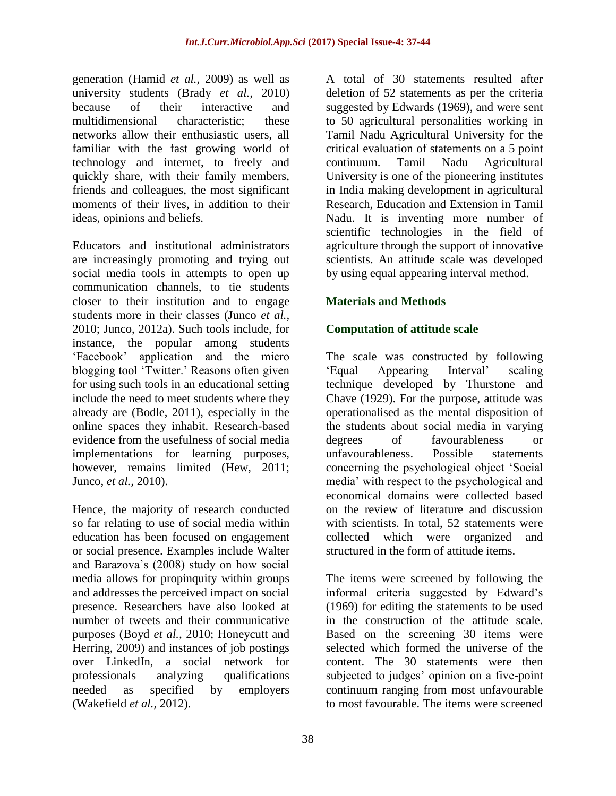generation (Hamid *et al.,* 2009) as well as university students (Brady *et al.,* 2010) because of their interactive and multidimensional characteristic; these networks allow their enthusiastic users, all familiar with the fast growing world of technology and internet, to freely and quickly share, with their family members, friends and colleagues, the most significant moments of their lives, in addition to their ideas, opinions and beliefs.

Educators and institutional administrators are increasingly promoting and trying out social media tools in attempts to open up communication channels, to tie students closer to their institution and to engage students more in their classes (Junco *et al.,* 2010; Junco, 2012a). Such tools include, for instance, the popular among students "Facebook" application and the micro blogging tool "Twitter." Reasons often given for using such tools in an educational setting include the need to meet students where they already are (Bodle, 2011), especially in the online spaces they inhabit. Research-based evidence from the usefulness of social media implementations for learning purposes, however, remains limited (Hew, 2011; Junco, *et al.,* 2010).

Hence, the majority of research conducted so far relating to use of social media within education has been focused on engagement or social presence. Examples include Walter and Barazova"s (2008) study on how social media allows for propinquity within groups and addresses the perceived impact on social presence. Researchers have also looked at number of tweets and their communicative purposes (Boyd *et al.,* 2010; Honeycutt and Herring, 2009) and instances of job postings over LinkedIn, a social network for professionals analyzing qualifications needed as specified by employers (Wakefield *et al.,* 2012).

A total of 30 statements resulted after deletion of 52 statements as per the criteria suggested by Edwards (1969), and were sent to 50 agricultural personalities working in Tamil Nadu Agricultural University for the critical evaluation of statements on a 5 point continuum. Tamil Nadu Agricultural University is one of the pioneering institutes in India making development in agricultural Research, Education and Extension in Tamil Nadu. It is inventing more number of scientific technologies in the field of agriculture through the support of innovative scientists. An attitude scale was developed by using equal appearing interval method.

## **Materials and Methods**

## **Computation of attitude scale**

The scale was constructed by following "Equal Appearing Interval" scaling technique developed by Thurstone and Chave (1929). For the purpose, attitude was operationalised as the mental disposition of the students about social media in varying degrees of favourableness or unfavourableness. Possible statements concerning the psychological object "Social media" with respect to the psychological and economical domains were collected based on the review of literature and discussion with scientists. In total, 52 statements were collected which were organized and structured in the form of attitude items.

The items were screened by following the informal criteria suggested by Edward"s (1969) for editing the statements to be used in the construction of the attitude scale. Based on the screening 30 items were selected which formed the universe of the content. The 30 statements were then subjected to judges' opinion on a five-point continuum ranging from most unfavourable to most favourable. The items were screened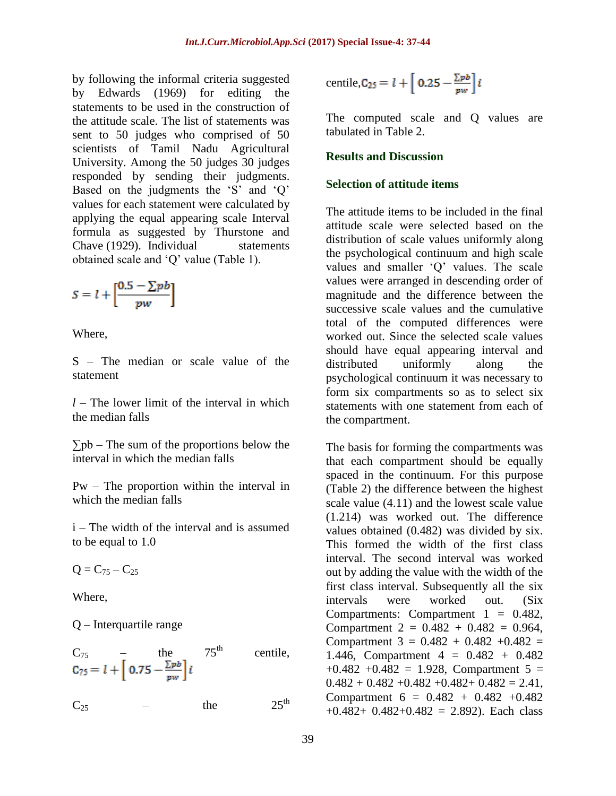by following the informal criteria suggested by Edwards (1969) for editing the statements to be used in the construction of the attitude scale. The list of statements was sent to 50 judges who comprised of 50 scientists of Tamil Nadu Agricultural University. Among the 50 judges 30 judges responded by sending their judgments. Based on the judgments the 'S' and 'Q' values for each statement were calculated by applying the equal appearing scale Interval formula as suggested by Thurstone and Chave (1929). Individual statements obtained scale and "Q" value (Table 1).

$$
S = l + \left[\frac{0.5 - \sum pb}{pw}\right]
$$

Where,

S – The median or scale value of the statement

 $l$  – The lower limit of the interval in which the median falls

 $\Sigma$ <sub>pb</sub> – The sum of the proportions below the interval in which the median falls

Pw – The proportion within the interval in which the median falls

i – The width of the interval and is assumed to be equal to 1.0

 $Q = C_{75} - C_{25}$ 

Where,

Q – Interquartile range

$$
C_{75} - \text{the} 75^{\text{th}} \text{centile},
$$
  

$$
C_{75} = l + \left[ 0.75 - \frac{\sum pb}{pw} \right] i
$$

 $C_{25}$  – the  $25^{\text{th}}$ 

$$
centile, C_{25} = l + \left[ 0.25 - \frac{\Sigma p b}{p w} \right] i
$$

The computed scale and Q values are tabulated in Table 2.

#### **Results and Discussion**

### **Selection of attitude items**

The attitude items to be included in the final attitude scale were selected based on the distribution of scale values uniformly along the psychological continuum and high scale values and smaller "Q" values. The scale values were arranged in descending order of magnitude and the difference between the successive scale values and the cumulative total of the computed differences were worked out. Since the selected scale values should have equal appearing interval and distributed uniformly along the psychological continuum it was necessary to form six compartments so as to select six statements with one statement from each of the compartment.

The basis for forming the compartments was that each compartment should be equally spaced in the continuum. For this purpose (Table 2) the difference between the highest scale value (4.11) and the lowest scale value (1.214) was worked out. The difference values obtained (0.482) was divided by six. This formed the width of the first class interval. The second interval was worked out by adding the value with the width of the first class interval. Subsequently all the six intervals were worked out. (Six Compartments: Compartment  $1 = 0.482$ , Compartment  $2 = 0.482 + 0.482 = 0.964$ , Compartment  $3 = 0.482 + 0.482 + 0.482 =$ 1.446, Compartment 4 = 0.482 + 0.482  $+0.482 +0.482 = 1.928$ , Compartment 5 =  $0.482 + 0.482 + 0.482 + 0.482 + 0.482 = 2.41$ , Compartment  $6 = 0.482 + 0.482 + 0.482$  $+0.482+0.482+0.482 = 2.892$ . Each class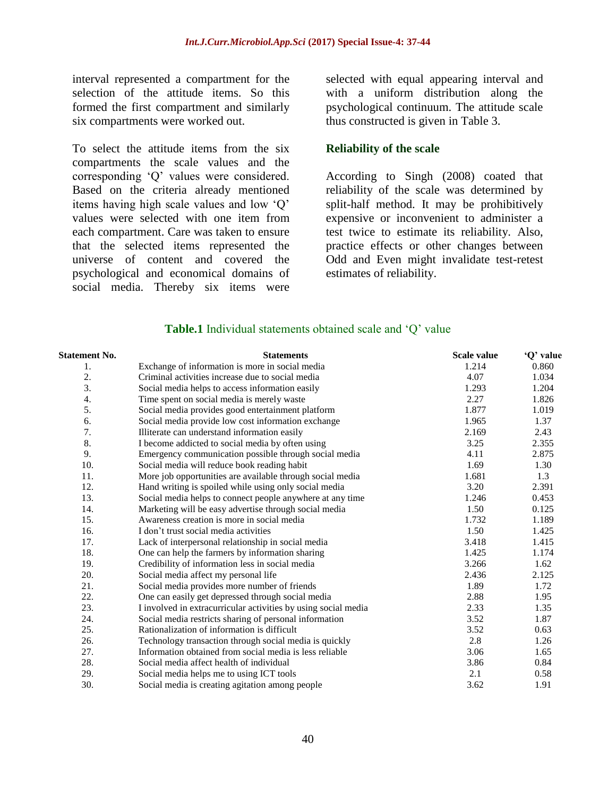interval represented a compartment for the selection of the attitude items. So this formed the first compartment and similarly six compartments were worked out.

To select the attitude items from the six compartments the scale values and the corresponding "Q" values were considered. Based on the criteria already mentioned items having high scale values and low "Q" values were selected with one item from each compartment. Care was taken to ensure that the selected items represented the universe of content and covered the psychological and economical domains of social media. Thereby six items were selected with equal appearing interval and with a uniform distribution along the psychological continuum. The attitude scale thus constructed is given in Table 3.

#### **Reliability of the scale**

According to Singh (2008) coated that reliability of the scale was determined by split-half method. It may be prohibitively expensive or inconvenient to administer a test twice to estimate its reliability. Also, practice effects or other changes between Odd and Even might invalidate test-retest estimates of reliability.

#### **Table.1** Individual statements obtained scale and 'Q' value

| Statement No. | <b>Statements</b>                                              | <b>Scale value</b> | 'Q' value |
|---------------|----------------------------------------------------------------|--------------------|-----------|
| 1.            | Exchange of information is more in social media                | 1.214              | 0.860     |
| 2.            | Criminal activities increase due to social media               | 4.07               | 1.034     |
| 3.            | Social media helps to access information easily                | 1.293              | 1.204     |
| 4.            | Time spent on social media is merely waste                     | 2.27               | 1.826     |
| 5.            | Social media provides good entertainment platform              | 1.877              | 1.019     |
| 6.            | Social media provide low cost information exchange             | 1.965              | 1.37      |
| 7.            | Illiterate can understand information easily                   | 2.169              | 2.43      |
| 8.            | I become addicted to social media by often using               | 3.25               | 2.355     |
| 9.            | Emergency communication possible through social media          | 4.11               | 2.875     |
| 10.           | Social media will reduce book reading habit                    | 1.69               | 1.30      |
| 11.           | More job opportunities are available through social media      | 1.681              | 1.3       |
| 12.           | Hand writing is spoiled while using only social media          | 3.20               | 2.391     |
| 13.           | Social media helps to connect people anywhere at any time      | 1.246              | 0.453     |
| 14.           | Marketing will be easy advertise through social media          | 1.50               | 0.125     |
| 15.           | Awareness creation is more in social media                     | 1.732              | 1.189     |
| 16.           | I don't trust social media activities                          | 1.50               | 1.425     |
| 17.           | Lack of interpersonal relationship in social media             | 3.418              | 1.415     |
| 18.           | One can help the farmers by information sharing                | 1.425              | 1.174     |
| 19.           | Credibility of information less in social media                | 3.266              | 1.62      |
| 20.           | Social media affect my personal life                           | 2.436              | 2.125     |
| 21.           | Social media provides more number of friends                   | 1.89               | 1.72      |
| 22.           | One can easily get depressed through social media              | 2.88               | 1.95      |
| 23.           | I involved in extracurricular activities by using social media | 2.33               | 1.35      |
| 24.           | Social media restricts sharing of personal information         | 3.52               | 1.87      |
| 25.           | Rationalization of information is difficult                    | 3.52               | 0.63      |
| 26.           | Technology transaction through social media is quickly         | 2.8                | 1.26      |
| 27.           | Information obtained from social media is less reliable        | 3.06               | 1.65      |
| 28.           | Social media affect health of individual                       | 3.86               | 0.84      |
| 29.           | Social media helps me to using ICT tools                       | 2.1                | 0.58      |
| 30.           | Social media is creating agitation among people                | 3.62               | 1.91      |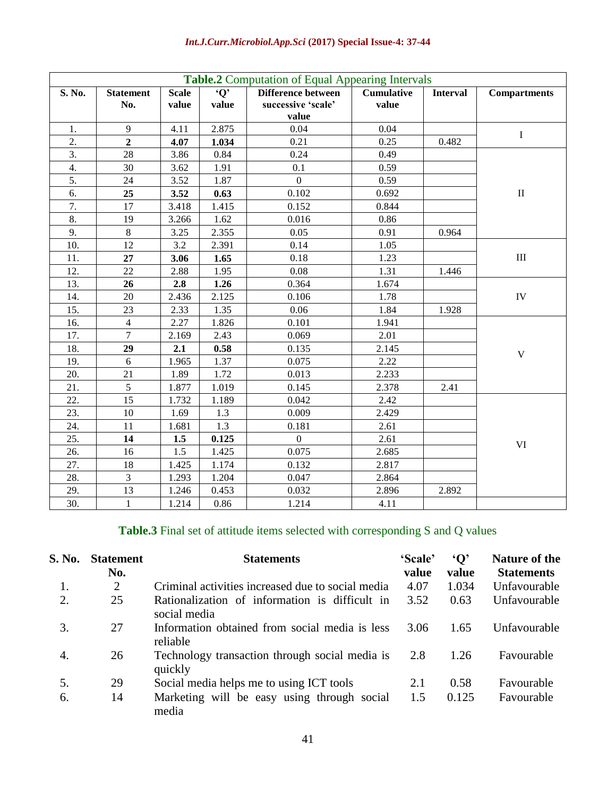| <b>Table.2</b> Computation of Equal Appearing Intervals |                  |              |                          |                    |                   |                 |                     |  |
|---------------------------------------------------------|------------------|--------------|--------------------------|--------------------|-------------------|-----------------|---------------------|--|
| S. No.                                                  | <b>Statement</b> | <b>Scale</b> | $\overline{\mathbf{Q'}}$ | Difference between | <b>Cumulative</b> | <b>Interval</b> | <b>Compartments</b> |  |
|                                                         | No.              | value        | value                    | successive 'scale' | value             |                 |                     |  |
|                                                         |                  |              |                          | value              |                   |                 |                     |  |
| 1.                                                      | 9                | 4.11         | 2.875                    | 0.04               | 0.04              |                 | $\bf I$             |  |
| 2.                                                      | $\overline{2}$   | 4.07         | 1.034                    | 0.21               | 0.25              | 0.482           |                     |  |
| 3.                                                      | 28               | 3.86         | 0.84                     | 0.24               | 0.49              |                 |                     |  |
| 4.                                                      | 30               | 3.62         | 1.91                     | 0.1                | 0.59              |                 |                     |  |
| 5.                                                      | 24               | 3.52         | 1.87                     | $\mathbf{0}$       | 0.59              |                 |                     |  |
| 6.                                                      | 25               | 3.52         | 0.63                     | 0.102              | 0.692             |                 | $\rm II$            |  |
| 7.                                                      | 17               | 3.418        | 1.415                    | 0.152              | 0.844             |                 |                     |  |
| 8.                                                      | 19               | 3.266        | 1.62                     | 0.016              | 0.86              |                 |                     |  |
| 9.                                                      | $8\,$            | 3.25         | 2.355                    | 0.05               | 0.91              | 0.964           |                     |  |
| 10.                                                     | 12               | 3.2          | 2.391                    | 0.14               | 1.05              |                 |                     |  |
| 11.                                                     | 27               | 3.06         | 1.65                     | 0.18               | 1.23              |                 | $\rm III$           |  |
| 12.                                                     | 22               | 2.88         | 1.95                     | 0.08               | 1.31              | 1.446           |                     |  |
| 13.                                                     | 26               | 2.8          | 1.26                     | 0.364              | 1.674             |                 |                     |  |
| 14.                                                     | 20               | 2.436        | 2.125                    | 0.106              | 1.78              |                 | IV                  |  |
| 15.                                                     | 23               | 2.33         | 1.35                     | 0.06               | 1.84              | 1.928           |                     |  |
| 16.                                                     | $\overline{4}$   | 2.27         | 1.826                    | 0.101              | 1.941             |                 |                     |  |
| 17.                                                     | $\overline{7}$   | 2.169        | 2.43                     | 0.069              | 2.01              |                 |                     |  |
| 18.                                                     | 29               | 2.1          | 0.58                     | 0.135              | 2.145             |                 | $\mathbf V$         |  |
| 19.                                                     | 6                | 1.965        | 1.37                     | 0.075              | 2.22              |                 |                     |  |
| 20.                                                     | 21               | 1.89         | 1.72                     | 0.013              | 2.233             |                 |                     |  |
| 21.                                                     | 5                | 1.877        | 1.019                    | 0.145              | 2.378             | 2.41            |                     |  |
| 22.                                                     | 15               | 1.732        | 1.189                    | 0.042              | 2.42              |                 |                     |  |
| 23.                                                     | 10               | 1.69         | 1.3                      | 0.009              | 2.429             |                 |                     |  |
| 24.                                                     | 11               | 1.681        | 1.3                      | 0.181              | 2.61              |                 |                     |  |
| 25.                                                     | 14               | 1.5          | 0.125                    | $\overline{0}$     | 2.61              |                 | VI                  |  |
| 26.                                                     | 16               | 1.5          | 1.425                    | 0.075              | 2.685             |                 |                     |  |
| 27.                                                     | 18               | 1.425        | 1.174                    | 0.132              | 2.817             |                 |                     |  |
| 28.                                                     | $\overline{3}$   | 1.293        | 1.204                    | 0.047              | 2.864             |                 |                     |  |
| 29.                                                     | 13               | 1.246        | 0.453                    | 0.032              | 2.896             | 2.892           |                     |  |
| 30.                                                     | $\mathbf{1}$     | 1.214        | 0.86                     | 1.214              | 4.11              |                 |                     |  |

# **Table.3** Final set of attitude items selected with corresponding S and Q values

| S. No. | <b>Statement</b><br>No. | <b>Statements</b>                                              | 'Scale'<br>value | $\mathbf{Q}$<br>value | Nature of the<br><b>Statements</b> |
|--------|-------------------------|----------------------------------------------------------------|------------------|-----------------------|------------------------------------|
|        | $\overline{2}$          | Criminal activities increased due to social media              | 4.07             | 1.034                 | Unfavourable                       |
| 2.     | 25                      | Rationalization of information is difficult in<br>social media | 3.52             | 0.63                  | Unfavourable                       |
| 3.     | 27                      | Information obtained from social media is less<br>reliable     | 3.06             | 1.65                  | Unfavourable                       |
| 4.     | 26                      | Technology transaction through social media is<br>quickly      | 2.8              | 1.26                  | Favourable                         |
| 5.     | 29                      | Social media helps me to using ICT tools                       | 2.1              | 0.58                  | Favourable                         |
| -6.    | 14                      | Marketing will be easy using through social<br>media           | 1.5              | 0.125                 | Favourable                         |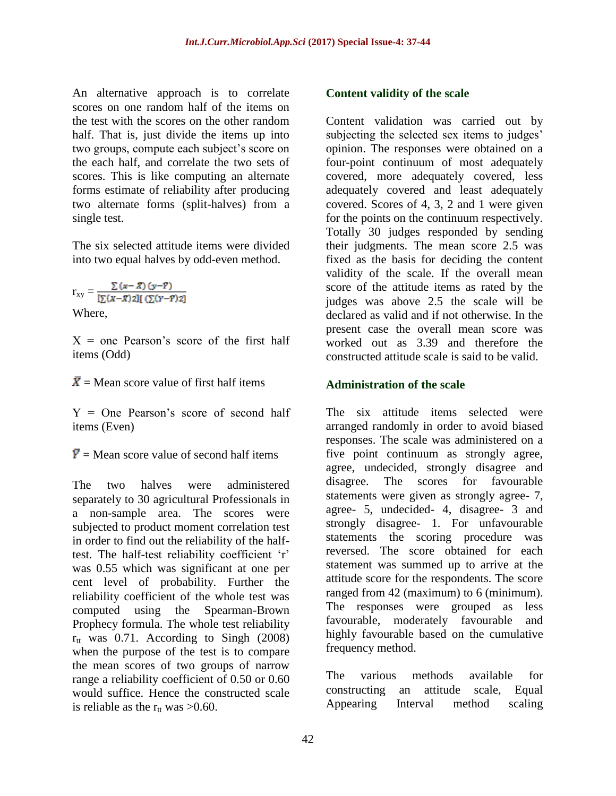An alternative approach is to correlate scores on one random half of the items on the test with the scores on the other random half. That is, just divide the items up into two groups, compute each subject's score on the each half, and correlate the two sets of scores. This is like computing an alternate forms estimate of reliability after producing two alternate forms (split-halves) from a single test.

The six selected attitude items were divided into two equal halves by odd-even method.

 $\Gamma_{XY} = \frac{\sum (x - \bar{X}) (y - \bar{Y})}{\left[\sum (x - \bar{X}) 2\right] \left[\left(\sum (Y - \bar{Y}) 2\right)\right]}$ Where,

 $X =$  one Pearson's score of the first half items (Odd)

 $\bar{X}$  = Mean score value of first half items

 $Y =$  One Pearson's score of second half items (Even)

 $\overline{Y}$  = Mean score value of second half items

The two halves were administered separately to 30 agricultural Professionals in a non-sample area. The scores were subjected to product moment correlation test in order to find out the reliability of the halftest. The half-test reliability coefficient 'r' was 0.55 which was significant at one per cent level of probability. Further the reliability coefficient of the whole test was computed using the Spearman-Brown Prophecy formula. The whole test reliability  $r_{tt}$  was 0.71. According to Singh (2008) when the purpose of the test is to compare the mean scores of two groups of narrow range a reliability coefficient of 0.50 or 0.60 would suffice. Hence the constructed scale is reliable as the  $r_{tt}$  was >0.60.

### **Content validity of the scale**

Content validation was carried out by subjecting the selected sex items to judges' opinion. The responses were obtained on a four-point continuum of most adequately covered, more adequately covered, less adequately covered and least adequately covered. Scores of 4, 3, 2 and 1 were given for the points on the continuum respectively. Totally 30 judges responded by sending their judgments. The mean score 2.5 was fixed as the basis for deciding the content validity of the scale. If the overall mean score of the attitude items as rated by the judges was above 2.5 the scale will be declared as valid and if not otherwise. In the present case the overall mean score was worked out as 3.39 and therefore the constructed attitude scale is said to be valid.

#### **Administration of the scale**

The six attitude items selected were arranged randomly in order to avoid biased responses. The scale was administered on a five point continuum as strongly agree, agree, undecided, strongly disagree and disagree. The scores for favourable statements were given as strongly agree- 7, agree- 5, undecided- 4, disagree- 3 and strongly disagree- 1. For unfavourable statements the scoring procedure was reversed. The score obtained for each statement was summed up to arrive at the attitude score for the respondents. The score ranged from 42 (maximum) to 6 (minimum). The responses were grouped as less favourable, moderately favourable and highly favourable based on the cumulative frequency method.

The various methods available for constructing an attitude scale, Equal Appearing Interval method scaling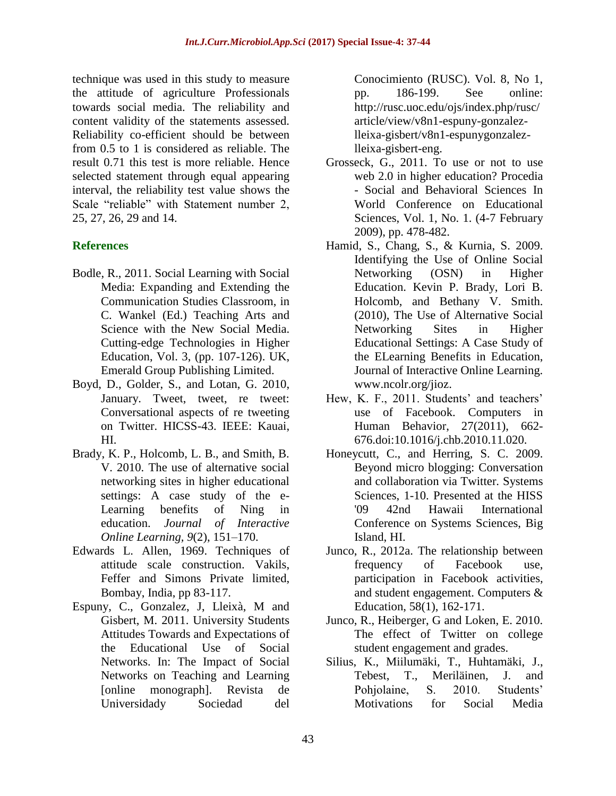technique was used in this study to measure the attitude of agriculture Professionals towards social media. The reliability and content validity of the statements assessed. Reliability co-efficient should be between from 0.5 to 1 is considered as reliable. The result 0.71 this test is more reliable. Hence selected statement through equal appearing interval, the reliability test value shows the Scale "reliable" with Statement number 2, 25, 27, 26, 29 and 14.

## **References**

- Bodle, R., 2011. Social Learning with Social Media: Expanding and Extending the Communication Studies Classroom, in C. Wankel (Ed.) Teaching Arts and Science with the New Social Media. Cutting-edge Technologies in Higher Education, Vol. 3, (pp. 107-126). UK, Emerald Group Publishing Limited.
- Boyd, D., Golder, S., and Lotan, G. 2010, January. Tweet, tweet, re tweet: Conversational aspects of re tweeting on Twitter. HICSS-43. IEEE: Kauai, HI.
- Brady, K. P., Holcomb, L. B., and Smith, B. V. 2010. The use of alternative social networking sites in higher educational settings: A case study of the e-Learning benefits of Ning in education. *Journal of Interactive Online Learning, 9*(2), 151–170.
- Edwards L. Allen, 1969. Techniques of attitude scale construction. Vakils, Feffer and Simons Private limited, Bombay, India, pp 83-117.
- Espuny, C., Gonzalez, J, Lleixà, M and Gisbert, M. 2011. University Students Attitudes Towards and Expectations of the Educational Use of Social Networks. In: The Impact of Social Networks on Teaching and Learning [online monograph]. Revista de Universidady Sociedad del

Conocimiento (RUSC). Vol. 8, No 1, pp. 186-199. See online: http://rusc.uoc.edu/ojs/index.php/rusc/ article/view/v8n1-espuny-gonzalezlleixa-gisbert/v8n1-espunygonzalezlleixa-gisbert-eng.

- Grosseck, G., 2011. To use or not to use web 2.0 in higher education? Procedia - Social and Behavioral Sciences In World Conference on Educational Sciences, Vol. 1, No. 1. (4-7 February 2009), pp. 478-482.
- Hamid, S., Chang, S., & Kurnia, S. 2009. Identifying the Use of Online Social Networking (OSN) in Higher Education. Kevin P. Brady, Lori B. Holcomb, and Bethany V. Smith. (2010), The Use of Alternative Social Networking Sites in Higher Educational Settings: A Case Study of the ELearning Benefits in Education, Journal of Interactive Online Learning. [www.ncolr.org/jioz.](http://www.ncolr.org/jioz)
- Hew, K. F., 2011. Students' and teachers' use of Facebook. Computers in Human Behavior, 27(2011), 662- 676.doi:10.1016/j.chb.2010.11.020.
- Honeycutt, C., and Herring, S. C. 2009. Beyond micro blogging: Conversation and collaboration via Twitter. Systems Sciences, 1-10. Presented at the HISS '09 42nd Hawaii International Conference on Systems Sciences, Big Island, HI.
- Junco, R., 2012a. The relationship between frequency of Facebook use, participation in Facebook activities, and student engagement. Computers & Education, 58(1), 162-171.
- Junco, R., Heiberger, G and Loken, E. 2010. The effect of Twitter on college student engagement and grades.
- Silius, K., Miilumäki, T., Huhtamäki, J., Tebest, T., Meriläinen, J. and Pohjolaine, S. 2010. Students' Motivations for Social Media